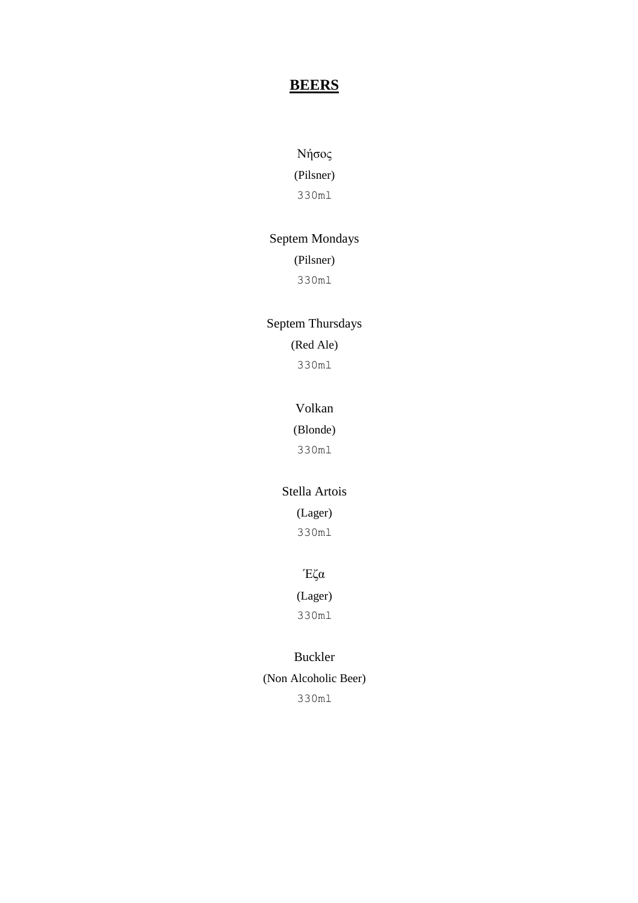## **BEERS**

### Νήσος

(Pilsner) 330ml

#### Septem Mondays

#### (Pilsner)

330ml

### Septem Thursdays

(Red Ale) 330ml

#### Volkan

(Blonde)

330ml

#### Stella Artois

(Lager)

330ml

### Έζα

(Lager)

330ml

#### Buckler

(Non Alcoholic Beer) 330ml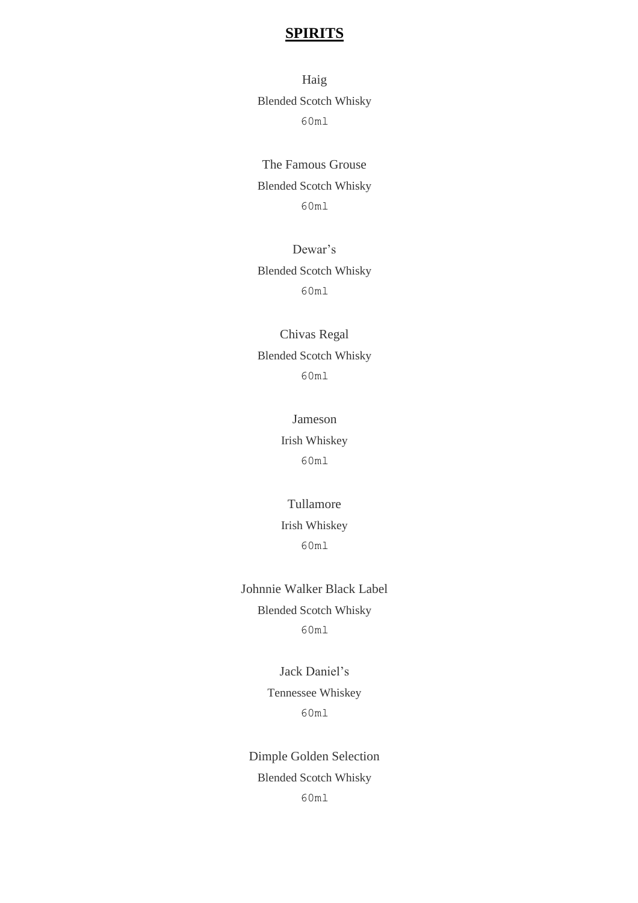Haig Blended Scotch Whisky 60ml

The Famous Grouse Blended Scotch Whisky 60ml

Dewar's Blended Scotch Whisky 60ml

Chivas Regal Blended Scotch Whisky 60ml

> Jameson Irish Whiskey 60ml

Tullamore Irish Whiskey 60ml

Johnnie Walker Black Label Blended Scotch Whisky 60ml

> Jack Daniel's Tennessee Whiskey 60ml

Dimple Golden Selection Blended Scotch Whisky 60ml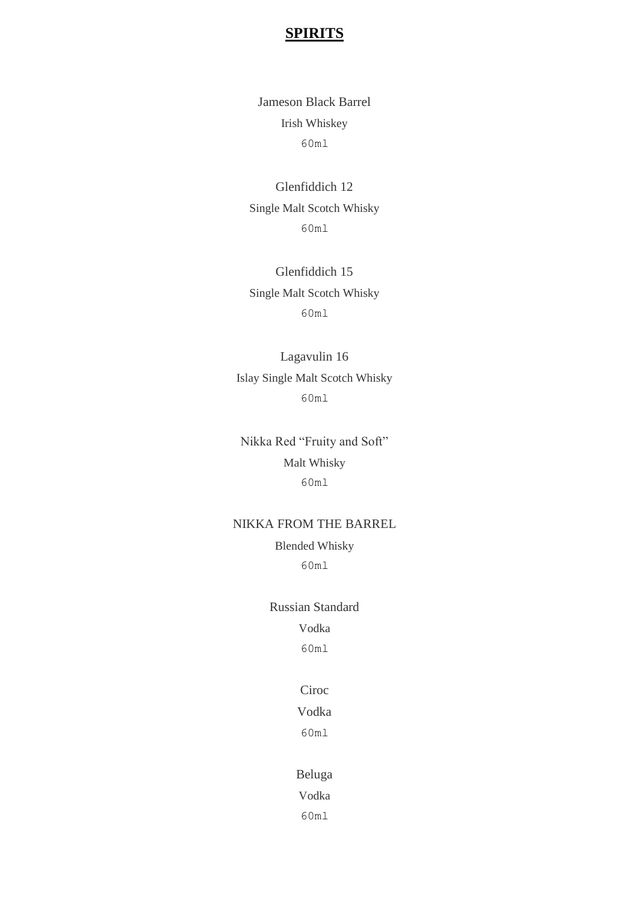Jameson Black Barrel Irish Whiskey 60ml

Glenfiddich 12 Single Malt Scotch Whisky 60ml

Glenfiddich 15 Single Malt Scotch Whisky 60ml

Lagavulin 16 Islay Single Malt Scotch Whisky 60ml

Nikka Red "Fruity and Soft" Malt Whisky 60ml

#### NIKKA FROM THE BARREL

Blended Whisky 60ml

Russian Standard Vodka 60ml

#### Ciroc

## Vodka

60ml

#### Beluga

Vodka

60ml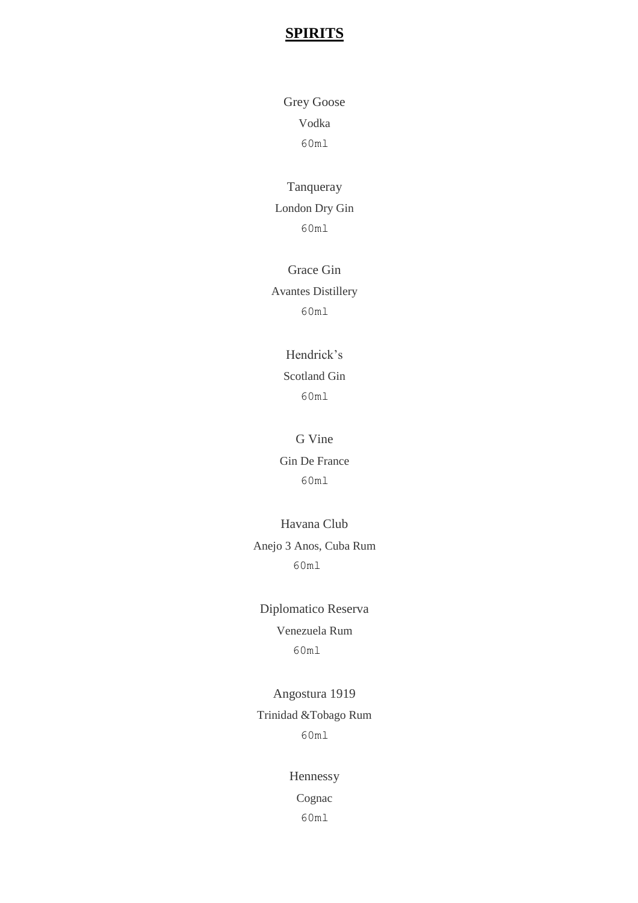Grey Goose Vodka 60ml

Tanqueray London Dry Gin 60ml

Grace Gin Avantes Distillery 60ml

## Hendrick's Scotland Gin 60ml

G Vine Gin De France 60ml

Havana Club Anejo 3 Anos, Cuba Rum 60ml

Diplomatico Reserva Venezuela Rum 60ml

Angostura 1919 Trinidad &Tobago Rum 60ml

Hennessy

Cognac

60ml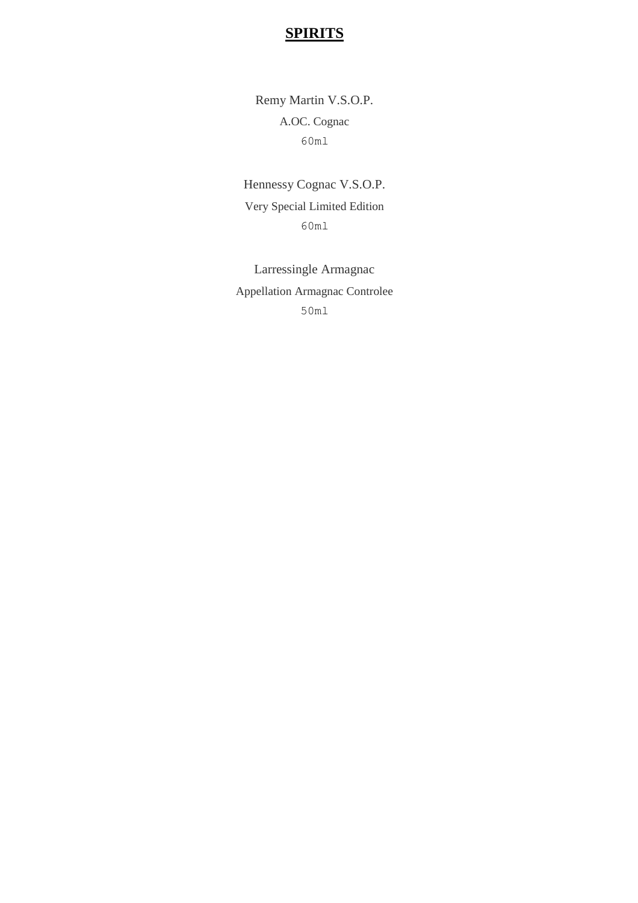Remy Martin V.S.O.P. A.OC. Cognac 60ml

Hennessy Cognac V.S.O.P. Very Special Limited Edition 60ml

Larressingle Armagnac Appellation Armagnac Controlee 50ml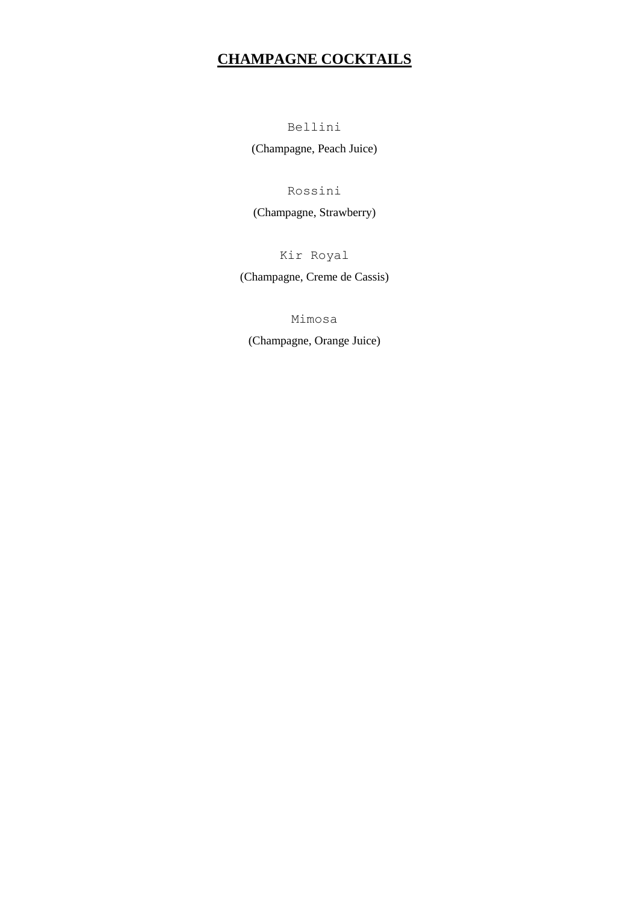# **CHAMPAGNE COCKTAILS**

Bellini

(Champagne, Peach Juice)

Rossini

(Champagne, Strawberry)

Kir Royal

(Champagne, Creme de Cassis)

Mimosa

(Champagne, Orange Juice)